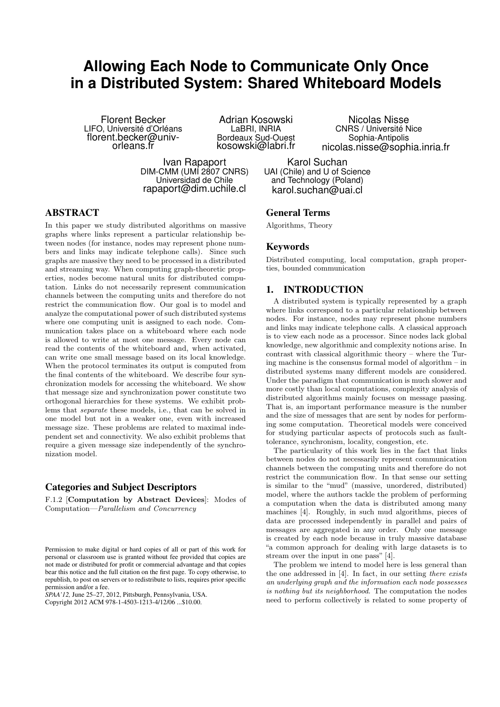# **Allowing Each Node to Communicate Only Once in a Distributed System: Shared Whiteboard Models**

Florent Becker LIFO, Université d'Orléans florent.becker@univorleans.fr

Adrian Kosowski LaBRI, INRIA Bordeaux Sud-Ouest kosowski@labri.fr

Ivan Rapaport DIM-CMM (UMI 2807 CNRS) Universidad de Chile rapaport@dim.uchile.cl

Nicolas Nisse CNRS / Université Nice Sophia-Antipolis nicolas.nisse@sophia.inria.fr

Karol Suchan UAI (Chile) and U of Science and Technology (Poland) karol.suchan@uai.cl

# ABSTRACT

In this paper we study distributed algorithms on massive graphs where links represent a particular relationship between nodes (for instance, nodes may represent phone numbers and links may indicate telephone calls). Since such graphs are massive they need to be processed in a distributed and streaming way. When computing graph-theoretic properties, nodes become natural units for distributed computation. Links do not necessarily represent communication channels between the computing units and therefore do not restrict the communication flow. Our goal is to model and analyze the computational power of such distributed systems where one computing unit is assigned to each node. Communication takes place on a whiteboard where each node is allowed to write at most one message. Every node can read the contents of the whiteboard and, when activated, can write one small message based on its local knowledge. When the protocol terminates its output is computed from the final contents of the whiteboard. We describe four synchronization models for accessing the whiteboard. We show that message size and synchronization power constitute two orthogonal hierarchies for these systems. We exhibit problems that *separate* these models, i.e., that can be solved in one model but not in a weaker one, even with increased message size. These problems are related to maximal independent set and connectivity. We also exhibit problems that require a given message size independently of the synchronization model.

## Categories and Subject Descriptors

F.1.2 [**Computation by Abstract Devices**]: Modes of Computation—*Parallelism and Concurrency*

*SPAA'12,* June 25–27, 2012, Pittsburgh, Pennsylvania, USA. Copyright 2012 ACM 978-1-4503-1213-4/12/06 ...\$10.00.

## General Terms

Algorithms, Theory

## Keywords

Distributed computing, local computation, graph properties, bounded communication

## 1. INTRODUCTION

A distributed system is typically represented by a graph where links correspond to a particular relationship between nodes. For instance, nodes may represent phone numbers and links may indicate telephone calls. A classical approach is to view each node as a processor. Since nodes lack global knowledge, new algorithmic and complexity notions arise. In contrast with classical algorithmic theory – where the Turing machine is the consensus formal model of algorithm – in distributed systems many different models are considered. Under the paradigm that communication is much slower and more costly than local computations, complexity analysis of distributed algorithms mainly focuses on message passing. That is, an important performance measure is the number and the size of messages that are sent by nodes for performing some computation. Theoretical models were conceived for studying particular aspects of protocols such as faulttolerance, synchronism, locality, congestion, etc.

The particularity of this work lies in the fact that links between nodes do not necessarily represent communication channels between the computing units and therefore do not restrict the communication flow. In that sense our setting is similar to the "mud" (massive, unordered, distributed) model, where the authors tackle the problem of performing a computation when the data is distributed among many machines [4]. Roughly, in such mud algorithms, pieces of data are processed independently in parallel and pairs of messages are aggregated in any order. Only one message is created by each node because in truly massive database "a common approach for dealing with large datasets is to stream over the input in one pass" [4].

The problem we intend to model here is less general than the one addressed in [4]. In fact, in our setting *there exists an underlying graph and the information each node possesses is nothing but its neighborhood*. The computation the nodes need to perform collectively is related to some property of

Permission to make digital or hard copies of all or part of this work for personal or classroom use is granted without fee provided that copies are not made or distributed for profit or commercial advantage and that copies bear this notice and the full citation on the first page. To copy otherwise, to republish, to post on servers or to redistribute to lists, requires prior specific permission and/or a fee.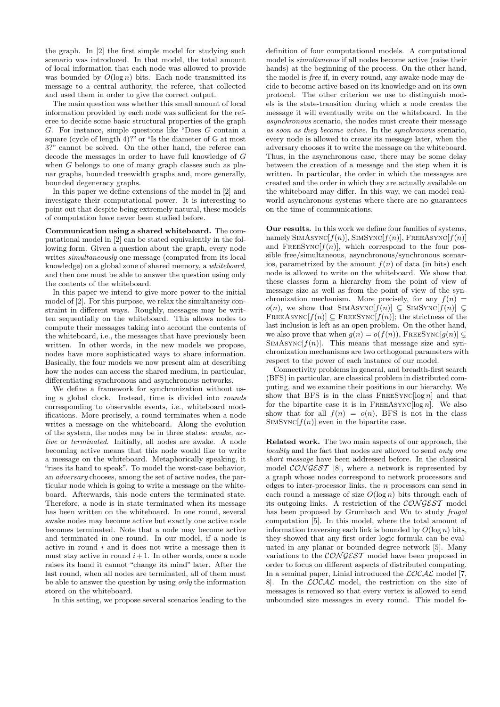the graph. In [2] the first simple model for studying such scenario was introduced. In that model, the total amount of local information that each node was allowed to provide was bounded by  $O(\log n)$  bits. Each node transmitted its message to a central authority, the referee, that collected and used them in order to give the correct output.

The main question was whether this small amount of local information provided by each node was sufficient for the referee to decide some basic structural properties of the graph *G*. For instance, simple questions like "Does *G* contain a square (cycle of length 4)?" or "Is the diameter of G at most 3?" cannot be solved. On the other hand, the referee can decode the messages in order to have full knowledge of *G* when *G* belongs to one of many graph classes such as planar graphs, bounded treewidth graphs and, more generally, bounded degeneracy graphs.

In this paper we define extensions of the model in [2] and investigate their computational power. It is interesting to point out that despite being extremely natural, these models of computation have never been studied before.

**Communication using a shared whiteboard.** The computational model in [2] can be stated equivalently in the following form. Given a question about the graph, every node writes *simultaneously* one message (computed from its local knowledge) on a global zone of shared memory, a *whiteboard*, and then one must be able to answer the question using only the contents of the whiteboard.

In this paper we intend to give more power to the initial model of [2]. For this purpose, we relax the simultaneity constraint in different ways. Roughly, messages may be written sequentially on the whiteboard. This allows nodes to compute their messages taking into account the contents of the whiteboard, i.e., the messages that have previously been written. In other words, in the new models we propose, nodes have more sophisticated ways to share information. Basically, the four models we now present aim at describing how the nodes can access the shared medium, in particular, differentiating synchronous and asynchronous networks.

We define a framework for synchronization without using a global clock. Instead, time is divided into *rounds* corresponding to observable events, i.e., whiteboard modifications. More precisely, a round terminates when a node writes a message on the whiteboard. Along the evolution of the system, the nodes may be in three states: *awake*, *active* or *terminated*. Initially, all nodes are awake. A node becoming active means that this node would like to write a message on the whiteboard. Metaphorically speaking, it "rises its hand to speak". To model the worst-case behavior, an *adversary* chooses, among the set of active nodes, the particular node which is going to write a message on the whiteboard. Afterwards, this node enters the terminated state. Therefore, a node is in state terminated when its message has been written on the whiteboard. In one round, several awake nodes may become active but exactly one active node becomes terminated. Note that a node may become active and terminated in one round. In our model, if a node is active in round *i* and it does not write a message then it must stay active in round  $i+1$ . In other words, once a node raises its hand it cannot "change its mind" later. After the last round, when all nodes are terminated, all of them must be able to answer the question by using *only* the information stored on the whiteboard.

In this setting, we propose several scenarios leading to the

definition of four computational models. A computational model is *simultaneous* if all nodes become active (raise their hands) at the beginning of the process. On the other hand, the model is *free* if, in every round, any awake node may decide to become active based on its knowledge and on its own protocol. The other criterion we use to distinguish models is the state-transition during which a node creates the message it will eventually write on the whiteboard. In the *asynchronous* scenario, the nodes must create their message *as soon as they become active*. In the *synchronous* scenario, every node is allowed to create its message later, when the adversary chooses it to write the message on the whiteboard. Thus, in the asynchronous case, there may be some delay between the creation of a message and the step when it is written. In particular, the order in which the messages are created and the order in which they are actually available on the whiteboard may differ. In this way, we can model realworld asynchronous systems where there are no guarantees on the time of communications.

**Our results.** In this work we define four families of systems, namely  $\text{SIMASYNC}[f(n)]$ ,  $\text{SIMSYNC}[f(n)]$ ,  $\text{FREEASYNC}[f(n)]$ and FREESYNC $[f(n)]$ , which correspond to the four possible free/simultaneous, asynchronous/synchronous scenarios, parametrized by the amount  $f(n)$  of data (in bits) each node is allowed to write on the whiteboard. We show that these classes form a hierarchy from the point of view of message size as well as from the point of view of the synchronization mechanism. More precisely, for any  $f(n)$  $o(n)$ , we show that SIMASYNC $[f(n)] \subseteq$  SIMSYNC $[f(n)] \subseteq$ FREEASYNC $[f(n)] \subseteq$  FREESYNC $[f(n)]$ ; the strictness of the last inclusion is left as an open problem. On the other hand, we also prove that when  $g(n) = o(f(n))$ , FREESYNC $[g(n)] \subsetneq$  $SIMASYNC[f(n)]$ . This means that message size and synchronization mechanisms are two orthogonal parameters with respect to the power of each instance of our model.

Connectivity problems in general, and breadth-first search (BFS) in particular, are classical problem in distributed computing, and we examine their positions in our hierarchy. We show that BFS is in the class FreeSync[log *n*] and that for the bipartite case it is in FREEASYNC $\lfloor \log n \rfloor$ . We also show that for all  $f(n) = o(n)$ , BFS is not in the class  $\text{SIMSYNC}[f(n)]$  even in the bipartite case.

**Related work.** The two main aspects of our approach, the *locality* and the fact that nodes are allowed to send *only one short message* have been addressed before. In the classical model *CON GEST* [8], where a network is represented by a graph whose nodes correspond to network processors and edges to inter-processor links, the *n* processors can send in each round a message of size  $O(\log n)$  bits through each of its outgoing links. A restriction of the *CON GEST* model has been proposed by Grumbach and Wu to study *frugal* computation [5]. In this model, where the total amount of information traversing each link is bounded by  $O(\log n)$  bits, they showed that any first order logic formula can be evaluated in any planar or bounded degree network [5]. Many variations to the *CON GEST* model have been proposed in order to focus on different aspects of distributed computing. In a seminal paper, Linial introduced the *LOCAL* model [7, 8]. In the *LOCAL* model, the restriction on the size of messages is removed so that every vertex is allowed to send unbounded size messages in every round. This model fo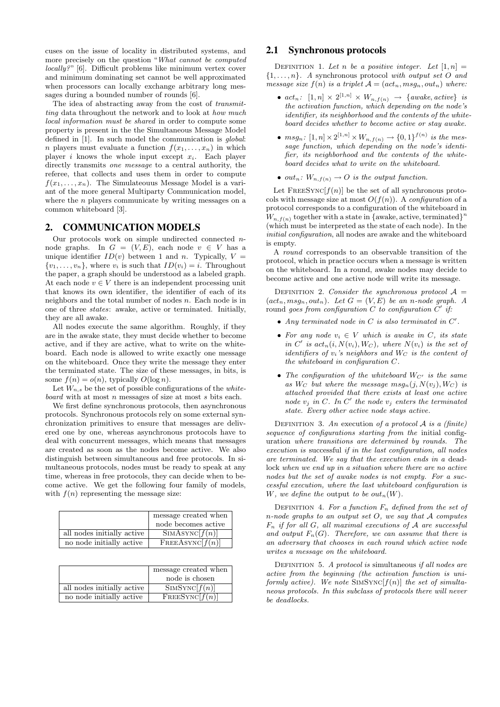cuses on the issue of locality in distributed systems, and more precisely on the question "*What cannot be computed locally?*" [6]. Difficult problems like minimum vertex cover and minimum dominating set cannot be well approximated when processors can locally exchange arbitrary long messages during a bounded number of rounds [6].

The idea of abstracting away from the cost of *transmitting* data throughout the network and to look at *how much local information must be shared* in order to compute some property is present in the the Simultaneous Message Model defined in [1]. In such model the communication is *global*: *n* players must evaluate a function  $f(x_1, \ldots, x_n)$  in which player *i* knows the whole input except  $x_i$ . Each player directly transmits *one message* to a central authority, the referee, that collects and uses them in order to compute  $f(x_1, \ldots, x_n)$ . The Simulateouus Message Model is a variant of the more general Multiparty Communication model, where the *n* players communicate by writing messages on a common whiteboard [3].

## 2. COMMUNICATION MODELS

Our protocols work on simple undirected connected *n*node graphs. In  $G = (V, E)$ , each node  $v \in V$  has a unique identifier  $ID(v)$  between 1 and *n*. Typically,  $V =$  $\{v_1, \ldots, v_n\}$ , where  $v_i$  is such that  $ID(v_i) = i$ . Throughout the paper, a graph should be understood as a labeled graph. At each node  $v \in V$  there is an independent processing unit that knows its own identifier, the identifier of each of its neighbors and the total number of nodes *n*. Each node is in one of three *states*: awake, active or terminated. Initially, they are all awake.

All nodes execute the same algorithm. Roughly, if they are in the awake state, they must decide whether to become active, and if they are active, what to write on the whiteboard. Each node is allowed to write exactly one message on the whiteboard. Once they write the message they enter the terminated state. The size of these messages, in bits, is some  $f(n) = o(n)$ , typically  $O(\log n)$ .

Let *Wn,s* be the set of possible configurations of the *whiteboard* with at most *n* messages of size at most *s* bits each.

We first define synchronous protocols, then asynchronous protocols. Synchronous protocols rely on some external synchronization primitives to ensure that messages are delivered one by one, whereas asynchronous protocols have to deal with concurrent messages, which means that messages are created as soon as the nodes become active. We also distinguish between simultaneous and free protocols. In simultaneous protocols, nodes must be ready to speak at any time, whereas in free protocols, they can decide when to become active. We get the following four family of models, with  $f(n)$  representing the message size:

|                            | message created when<br>node becomes active |
|----------------------------|---------------------------------------------|
| all nodes initially active | $\overline{\text{SIMASYNC}[f(n)]}$          |
| no node initially active   | FREEASYNC[f(n)]                             |

|                            | message created when |
|----------------------------|----------------------|
|                            | node is chosen       |
| all nodes initially active | SIMSYNC[f(n)]        |
| no node initially active   | $F_{REESTNC}[f(n)]$  |

#### 2.1 Synchronous protocols

DEFINITION 1. Let *n* be a positive integer. Let  $[1, n] =$ *{*1*, . . . , n}. A* synchronous protocol *with output set O and message size*  $f(n)$  *is a triplet*  $A = (act_n, msg_n, out_n)$  *where:* 

- $act_n$ :  $[1, n] \times 2^{[1,n]} \times W_{n, f(n)} \rightarrow \{a \text{wake}, \text{active}\}$  *is the activation function, which depending on the node's identifier, its neighborhood and the contents of the whiteboard decides whether to become active or stay awake.*
- $msg_n: [1, n] \times 2^{[1, n]} \times W_{n, f(n)} \to \{0, 1\}^{f(n)}$  is the mes*sage function, which depending on the node's identifier, its neighborhood and the contents of the whiteboard decides what to write on the whiteboard.*
- $out_n: W_{n,f(n)} \to O$  *is the output function.*

Let  $FREESYNC[f(n)]$  be the set of all synchronous protocols with message size at most  $O(f(n))$ . A *configuration* of a protocol corresponds to a configuration of the whiteboard in  $W_{n,f(n)}$  together with a state in {awake, active, terminated}<sup>*n*</sup> (which must be interpreted as the state of each node). In the *initial configuration*, all nodes are awake and the whiteboard is empty.

A *round* corresponds to an observable transition of the protocol, which in practice occurs when a message is written on the whiteboard. In a round, awake nodes may decide to become active and one active node will write its message.

DEFINITION 2. *Consider the synchronous protocol*  $A =$  $(\textit{act}_n, \textit{msg}_n, \textit{out}_n)$ . Let  $G = (V, E)$  be an *n*-node graph. A round *goes from configuration C to configuration C ′ if:*

- *• Any terminated node in C is also terminated in C ′ .*
- For any node  $v_i \in V$  which is awake in *C*, its state *in*  $C'$  *is*  $act_n(i, N(v_i), W_C)$ *, where*  $N(v_i)$  *is the set of identifiers of vi's neighbors and W<sup>C</sup> is the content of the whiteboard in configuration C.*
- *• The configuration of the whiteboard W<sup>C</sup>′ is the same* as  $W_C$  *but where the message*  $msg_n(j, N(v_i), W_C)$  *is attached provided that there exists at least one active node*  $v_j$  *in C*. In *C*<sup> $\prime$ </sup> *the node*  $v_j$  *enters the terminated state. Every other active node stays active.*

Definition 3. *An* execution *of a protocol A is a (finite) sequence of configurations starting from the* initial configuration *where transitions are determined by rounds. The execution is* successful *if in the last configuration, all nodes are terminated. We say that the execution ends in a* deadlock *when we end up in a situation where there are no active nodes but the set of awake nodes is not empty. For a successful execution, where the last whiteboard configuration is W, we define the* output *to be out<sub>n</sub>*(*W*).

DEFINITION 4. For a function  $F_n$  defined from the set of *n-node graphs to an output set O, we say that A computes F<sup>n</sup> if for all G, all maximal executions of A are successful and output*  $F_n(G)$ *. Therefore, we can assume that there is an adversary that chooses in each round which active node writes a message on the whiteboard.*

Definition 5. *A protocol is* simultaneous *if all nodes are active from the beginning (the activation function is uniformly active). We note*  $\text{SIMSYNC}[f(n)]$  *the set of simultaneous protocols. In this subclass of protocols there will never be deadlocks.*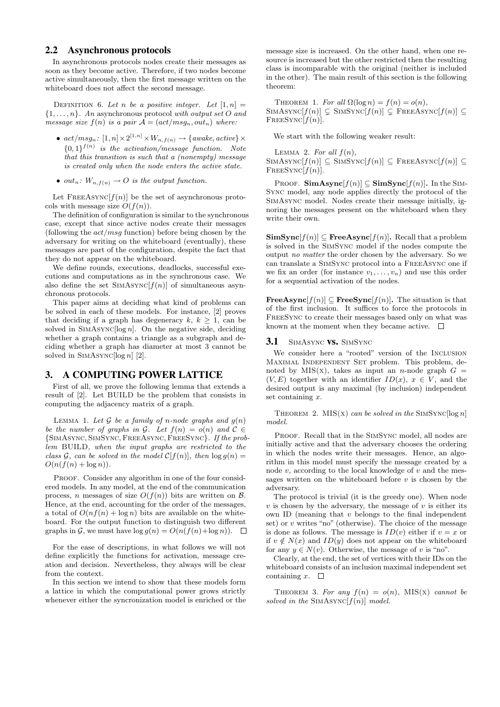#### 2.2 Asynchronous protocols

In asynchronous protocols nodes create their messages as soon as they become active. Therefore, if two nodes become active simultaneously, then the first message written on the whiteboard does not affect the second message.

DEFINITION 6. Let *n* be a positive integer. Let  $[1, n] =$ *{*1*, . . . , n}. An* asynchronous protocol *with output set O and message size*  $f(n)$  *is a pair*  $\overline{A} = (act/msg_n, out_n)$  *where:* 

- $act/msg_n$ :  $[1, n] \times 2^{[1, n]} \times W_{n, f(n)}$  → {*awake, active*}  $\times$  ${0,1}^{f(n)}$  *is the activation/message function. Note that this transition is such that a (nonempty) message is created only when the node enters the active state.*
- *out<sub>n</sub>*:  $W_{n, f(n)} \to O$  *is the output function.*

Let  $FREEASYNC[f(n)]$  be the set of asynchronous protocols with message size  $O(f(n))$ .

The definition of configuration is similar to the synchronous case, except that since active nodes create their messages (following the *act/msg* function) before being chosen by the adversary for writing on the whiteboard (eventually), these messages are part of the configuration, despite the fact that they do not appear on the whiteboard.

We define rounds, executions, deadlocks, successful executions and computations as in the synchronous case. We also define the set  $\text{SIMASYNC}[f(n)]$  of simultaneous asynchronous protocols.

This paper aims at deciding what kind of problems can be solved in each of these models. For instance, [2] proves that deciding if a graph has degeneracy  $k, k \geq 1$ , can be solved in  $SIMASYNC[log n]$ . On the negative side, deciding whether a graph contains a triangle as a subgraph and deciding whether a graph has diameter at most 3 cannot be solved in SimAsync[log *n*] [2].

## 3. A COMPUTING POWER LATTICE

First of all, we prove the following lemma that extends a result of [2]. Let BUILD be the problem that consists in computing the adjacency matrix of a graph.

LEMMA 1. Let  $G$  be a family of *n*-node graphs and  $g(n)$ *be the number of graphs in G.* Let  $f(n) = o(n)$  and  $C \in$ *{*SimAsync*,* SimSync*,* FreeAsync*,* FreeSync*}. If the problem* BUILD*, when the input graphs are restricted to the class*  $G$ *, can be solved in the model*  $C[f(n)]$ *, then*  $\log g(n) =$  $O(n(f(n) + \log n)).$ 

PROOF. Consider any algorithm in one of the four considered models. In any model, at the end of the communication process, *n* messages of size  $O(f(n))$  bits are written on *B*. Hence, at the end, accounting for the order of the messages, a total of  $O(n f(n) + \log n)$  bits are available on the whiteboard. For the output function to distinguish two different graphs in  $G$ , we must have  $\log g(n) = O(n(f(n) + \log n))$ .

For the ease of descriptions, in what follows we will not define explicitly the functions for activation, message creation and decision. Nevertheless, they always will be clear from the context.

In this section we intend to show that these models form a lattice in which the computational power grows strictly whenever either the syncronization model is enriched or the

message size is increased. On the other hand, when one resource is increased but the other restricted then the resulting class is incomparable with the original (neither is included in the other). The main result of this section is the following theorem:

THEOREM 1. *For all*  $\Omega(\log n) = f(n) = o(n)$ ,  $SIMASYNC[f(n)]$  ⊆ SIMSYNC $[f(n)]$  ⊆ FREEASYNC $[f(n)]$  ⊆  $FREESYNC[f(n)].$ 

We start with the following weaker result:

LEMMA 2. For all  $f(n)$ , SIMASYNC $[f(n)]$   $\subseteq$  SIMSYNC $[f(n)]$   $\subseteq$  FREEASYNC $[f(n)]$   $\subseteq$  $FREESYNC[f(n)].$ 

PROOF. **SimAsync** $[f(n)] \subseteq$  **SimSync** $[f(n)]$ . In the SIM-Sync model, any node applies directly the protocol of the SimAsync model. Nodes create their message initially, ignoring the messages present on the whiteboard when they write their own.

 $\textbf{SimSync}[f(n)]$   $\subseteq$  **FreeAsync**[*f*(*n*)]. Recall that a problem is solved in the SimSync model if the nodes compute the output *no matter* the order chosen by the adversary. So we can translate a SimSync protocol into a FreeAsync one if we fix an order (for instance  $v_1, \ldots, v_n$ ) and use this order for a sequential activation of the nodes.

**FreeAsync**[ $f(n)$ ]  $\subset$  **FreeSync**[ $f(n)$ ]. The situation is that of the first inclusion. It suffices to force the protocols in FREESYNC to create their messages based only on what was known at the moment when they became active.  $\Box$ 

#### 3.1 SIMASYNC VS. SIMSYNC

We consider here a "rooted" version of the Inclusion Maximal Independent Set problem. This problem, denoted by MIS(x), takes as input an *n*-node graph  $G =$  $(V, E)$  together with an identifier  $ID(x)$ ,  $x \in V$ , and the desired output is any maximal (by inclusion) independent set containing *x*.

Theorem 2. MIS(x) *can be solved in the* SimSync[log *n*] *model.*

PROOF. Recall that in the SIMSYNC model, all nodes are initially active and that the adversary chooses the ordering in which the nodes write their messages. Hence, an algorithm in this model must specify the message created by a node *v*, according to the local knowledge of *v* and the messages written on the whiteboard before  $v$  is chosen by the adversary.

The protocol is trivial (it is the greedy one). When node *v* is chosen by the adversary, the message of *v* is either its own ID (meaning that *v* belongs to the final independent set) or *v* writes "no" (otherwise). The choice of the message is done as follows. The message is  $ID(v)$  either if  $v = x$  or if  $v \notin N(x)$  and  $ID(y)$  does not appear on the whiteboard for any  $y \in N(v)$ . Otherwise, the message of *v* is "no".

Clearly, at the end, the set of vertices with their IDs on the whiteboard consists of an inclusion maximal independent set containing  $x$ .  $\square$ 

THEOREM 3. For any  $f(n) = o(n)$ , MIS(x) cannot be *solved in the* SimAsync[*f*(*n*)] *model.*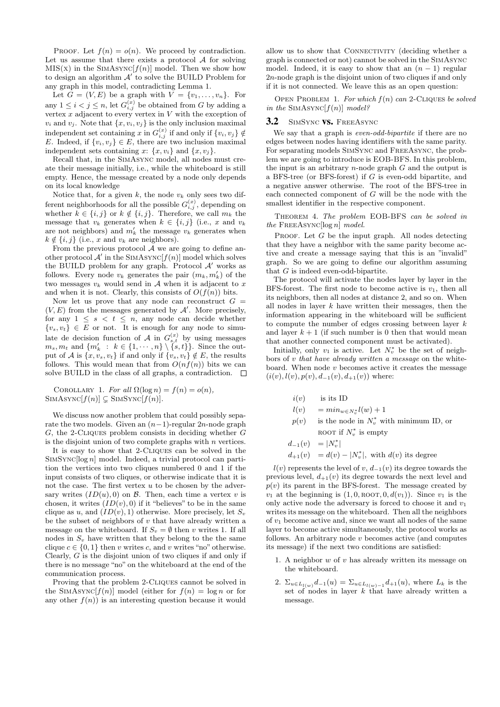PROOF. Let  $f(n) = o(n)$ . We proceed by contradiction. Let us assume that there exists a protocol *A* for solving  $MIS(x)$  in the SIMASYNC $[f(n)]$  model. Then we show how to design an algorithm *A ′* to solve the BUILD Problem for any graph in this model, contradicting Lemma 1.

Let  $G = (V, E)$  be a graph with  $V = \{v_1, \ldots, v_n\}$ . For any  $1 \leq i < j \leq n$ , let  $G_{i,j}^{(x)}$  be obtained from *G* by adding a vertex *x* adjacent to every vertex in *V* with the exception of  $v_i$  and  $v_j$ . Note that  $\{x, v_i, v_j\}$  is the only inclusion maximal independent set containing *x* in  $G_{i,j}^{(x)}$  if and only if  $\{v_i, v_j\} \notin$ *E*. Indeed, if  $\{v_i, v_j\} \in E$ , there are two inclusion maximal independent sets containing *x*:  $\{x, v_i\}$  and  $\{x, v_j\}$ .

Recall that, in the SimAsync model, all nodes must create their message initially, i.e., while the whiteboard is still empty. Hence, the message created by a node only depends on its local knowledge

Notice that, for a given  $k$ , the node  $v_k$  only sees two different neighborhoods for all the possible  $G_{i,j}^{(x)}$ , depending on whether  $k \in \{i, j\}$  or  $k \notin \{i, j\}$ . Therefore, we call  $m_k$  the message that  $v_k$  generates when  $k \in \{i, j\}$  (i.e., *x* and  $v_k$ ) are not neighbors) and  $m'_{k}$  the message  $v_{k}$  generates when  $k \notin \{i, j\}$  (i.e., *x* and  $v_k$  are neighbors).

From the previous protocol  $A$  we are going to define another protocol  $\mathcal{A}'$  in the SIMASYNC $[f(n)]$  model which solves the BUILD problem for any graph. Protocol *A ′* works as follows. Every node  $v_k$  generates the pair  $(m_k, m'_k)$  of the two messages  $v_k$  would send in  $A$  when it is adjacent to  $x$ and when it is not. Clearly, this consists of  $O(f(n))$  bits.

Now let us prove that any node can reconstruct  $G$  $(V, E)$  from the messages generated by  $A'$ . More precisely, for any  $1 \leq s \leq t \leq n$ , any node can decide whether  ${v_s, v_t} \in E$  or not. It is enough for any node to simulate de decision function of *A* in  $G_{s,t}^{(x)}$  by using messages  $m_s, m_t$  and  $\{m'_k : k \in \{1, \cdots, n\} \setminus \{s, t\}\}\$ . Since the output of *A* is  $\{x, v_s, v_t\}$  if and only if  $\{v_s, v_t\} \notin E$ , the results follows. This would mean that from  $O(n f(n))$  bits we can solve BUILD in the class of all graphs, a contradiction.  $\Box$ 

COROLLARY 1. *For all*  $\Omega(\log n) = f(n) = o(n)$ ,  $SIMASYNC[f(n)] \subsetneq SIMSYNC[f(n)]$ .

We discuss now another problem that could possibly separate the two models. Given an (*n−*1)-regular 2*n*-node graph *G*, the 2-Cliques problem consists in deciding whether *G* is the disjoint union of two complete graphs with *n* vertices.

It is easy to show that 2-Cliques can be solved in the SIMSYNC[log *n*] model. Indeed, a trivial protocol can partition the vertices into two cliques numbered 0 and 1 if the input consists of two cliques, or otherwise indicate that it is not the case. The first vertex *u* to be chosen by the adversary writes  $(ID(u), 0)$  on  $B$ . Then, each time a vertex  $v$  is chosen, it writes  $(ID(v), 0)$  if it "believes" to be in the same clique as *u*, and  $(ID(v), 1)$  otherwise. More precisely, let  $S_v$ be the subset of neighbors of *v* that have already written a message on the whiteboard. If  $S_v = \emptyset$  then *v* writes 1. If all nodes in  $S_v$  have written that they belong to the the same clique  $c \in \{0, 1\}$  then *v* writes *c*, and *v* writes "no" otherwise. Clearly, *G* is the disjoint union of two cliques if and only if there is no message "no" on the whiteboard at the end of the communication process.

Proving that the problem 2-Cliques cannot be solved in the SIMASYNC $[f(n)]$  model (either for  $f(n) = \log n$  or for any other  $f(n)$  is an interesting question because it would

allow us to show that CONNECTIVITY (deciding whether a graph is connected or not) cannot be solved in the SimAsync model. Indeed, it is easy to show that an  $(n-1)$  regular 2*n*-node graph is the disjoint union of two cliques if and only if it is not connected. We leave this as an open question:

Open Problem 1. *For which f*(*n*) *can* 2-Cliques *be solved in the* SIMASYNC $[f(n)]$  *model?* 

#### 3.2 SIMSYNC VS. FREEASYNC

We say that a graph is *even-odd-bipartite* if there are no edges between nodes having identifiers with the same parity. For separating models SimSync and FreeAsync, the problem we are going to introduce is EOB-BFS. In this problem, the input is an arbitrary *n*-node graph *G* and the output is a BFS-tree (or BFS-forest) if *G* is even-odd bipartite, and a negative answer otherwise. The root of the BFS-tree in each connected component of *G* will be the node with the smallest identifier in the respective component.

Theorem 4. *The problem* EOB-BFS *can be solved in the* FreeAsync[log *n*] *model.*

PROOF. Let *G* be the input graph. All nodes detecting that they have a neighbor with the same parity become active and create a message saying that this is an "invalid" graph. So we are going to define our algorithm assuming that *G* is indeed even-odd-bipartite.

The protocol will activate the nodes layer by layer in the BFS-forest. The first node to become active is  $v_1$ , then all its neighbors, then all nodes at distance 2, and so on. When all nodes in layer *k* have written their messages, then the information appearing in the whiteboard will be sufficient to compute the number of edges crossing between layer *k* and layer  $k + 1$  (if such number is 0 then that would mean that another connected component must be activated).

Initially, only  $v_1$  is active. Let  $N_v^*$  be the set of neighbors of *v that have already written a message* on the whiteboard. When node *v* becomes active it creates the message  $(i(v), l(v), p(v), d_{-1}(v), d_{+1}(v))$  where:

- $i(v)$  is its ID
- $l(v) = min_{w \in N_v^*} l(w) + 1$
- $p(v)$  is the node in  $N_v^*$  with minimum ID, or ROOT if  $N_v^*$  is empty  $d_{-1}(v)$

$$
d_{-1}(v) = |N_v^*|
$$
  

$$
d_{+1}(v) = d(v) - |N_v^*|
$$
, with  $d(v)$  its degree

 $l(v)$  represents the level of *v*,  $d_{-1}(v)$  its degree towards the previous level,  $d_{+1}(v)$  its degree towards the next level and  $p(v)$  its parent in the BFS-forest. The message created by  $v_1$  at the beginning is  $(1, 0, \text{ROOT}, 0, d(v_1))$ . Since  $v_1$  is the only active node the adversary is forced to choose it and *v*<sup>1</sup> writes its message on the whiteboard. Then all the neighbors of *v*<sup>1</sup> become active and, since we want all nodes of the same layer to become active simultaneously, the protocol works as follows. An arbitrary node *v* becomes active (and computes its message) if the next two conditions are satisfied:

- 1. A neighbor *w* of *v* has already written its message on the whiteboard.
- 2.  $\Sigma_{u \in L_{l(w)}} d_{-1}(u) = \Sigma_{u \in L_{l(w)-1}} d_{+1}(u)$ , where  $L_k$  is the set of nodes in layer *k* that have already written a message.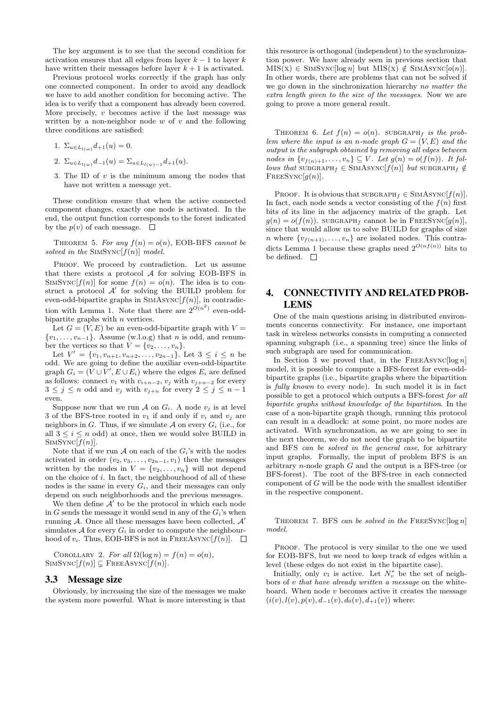The key argument is to see that the second condition for activation ensures that all edges from layer  $k-1$  to layer  $k$ have written their messages before layer  $k + 1$  is activated.

Previous protocol works correctly if the graph has only one connected component. In order to avoid any deadlock we have to add another condition for becoming active. The idea is to verify that a component has already been covered. More precisely, *v* becomes active if the last message was written by a non-neighbor node *w* of *v* and the following three conditions are satisfied:

- 1.  $\Sigma_{u \in L_{l(w)}} d_{+1}(u) = 0.$
- 2.  $\Sigma_{u \in L_{l(w)}} d_{-1}(u) = \Sigma_{u \in L_{l(w)-1}} d_{+1}(u).$
- 3. The ID of *v* is the minimum among the nodes that have not written a message yet.

These condition ensure that when the active connected component changes, exactly one node is activated. In the end, the output function corresponds to the forest indicated by the  $p(v)$  of each message.  $\square$ 

THEOREM 5. For any  $f(n) = o(n)$ , EOB-BFS cannot be solved in the SIMSYNC $[f(n)]$  model.

PROOF. We proceed by contradiction. Let us assume that there exists a protocol *A* for solving EOB-BFS in SIMSYNC $[f(n)]$  for some  $f(n) = o(n)$ . The idea is to construct a protocol *A ′* for solving the BUILD problem for even-odd-bipartite graphs in SimAsync[*f*(*n*)], in contradiction with Lemma 1. Note that there are  $2^{O(n^2)}$  even-oddbipartite graphs with *n* vertices.

Let  $G = (V, E)$  be an even-odd-bipartite graph with  $V =$ *{v*1*, . . . , v<sup>n</sup>−*<sup>1</sup>*}*. Assume (w.l.o.g) that *n* is odd, and renumber the vertices so that  $V = \{v_2, \ldots, v_n\}.$ 

Let  $V' = \{v_1, v_{n+1}, v_{n+2}, \ldots, v_{2n-1}\}$ . Let  $3 \leq i \leq n$  be odd. We are going to define the auxiliar even-odd-bipartite graph  $G_i = (V \cup V', E \cup E_i)$  where the edges  $E_i$  are defined as follows: connect  $v_1$  with  $v_{i+n-2}$ ,  $v_j$  with  $v_{j+n-2}$  for every  $3 \leq j \leq n$  odd and  $v_j$  with  $v_{j+n}$  for every  $2 \leq j \leq n-1$ even.

Suppose now that we run *A* on  $G_i$ . A node  $v_j$  is at level 3 of the BFS-tree rooted in  $v_1$  if and only if  $v_i$  and  $v_j$  are neighbors in *G*. Thus, if we simulate  $A$  on every  $G_i$  (i.e., for all  $3 \leq i \leq n$  odd) at once, then we would solve BUILD in  $SIMSYNC[f(n)].$ 

Note that if we run *A* on each of the  $G_i$ 's with the nodes activated in order  $(v_2, v_3, \ldots, v_{2n-1}, v_1)$  then the messages written by the nodes in  $V = \{v_2, \ldots, v_n\}$  will not depend on the choice of *i*. In fact, the neighbourhood of all of these nodes is the same in every  $G_i$ , and their messages can only depend on such neighborhoods and the previous messages.

We then define  $A'$  to be the protocol in which each node in *G* sends the message it would send in any of the *Gi*'s when running *A*. Once all these messages have been collected, *A ′* simulates  $A$  for every  $G_i$  in order to compute the neighbourhood of  $v_i$ . Thus, EOB-BFS is not in FREEASYNC $[f(n)]$ .  $\square$ 

COROLLARY 2. *For all*  $\Omega(\log n) = f(n) = o(n)$ ,  $SIMSYNC[f(n)] \subsetneq$  FREEASYNC $[f(n)]$ .

#### 3.3 Message size

Obviously, by increasing the size of the messages we make the system more powerful. What is more interesting is that

this resource is orthogonal (independent) to the synchronization power. We have already seen in previous section that  $MIS(x) \in SIMSYNC[log n]$  but  $MIS(x) \notin SIMASYNC[o(n)].$ In other words, there are problems that can not be solved if we go down in the sinchronization hierarchy *no matter the extra length given to the size of the messages*. Now we are going to prove a more general result.

THEOREM 6. Let  $f(n) = o(n)$ . SUBGRAPH<sub>f</sub> is the prob*lem where the input is an n-node graph*  $G = (V, E)$  *and the output is the subgraph obtained by removing all edges between nodes in*  $\{v_{f(n)+1}, \ldots, v_n\} \subseteq V$ *. Let*  $g(n) = o(f(n))$ *. It fol* $lows that SUBGRAPH<sub>f</sub> \in SIMASYNC[f(n)] but SUBGRAPH<sub>f</sub> \notin$  $FREESYNC[q(n)]$ .

PROOF. It is obvious that  $\text{SUBGRAPH}_f \in \text{SIMASYNC}[f(n)]$ . In fact, each node sends a vector consisting of the  $f(n)$  first bits of its line in the adjacency matrix of the graph. Let  $g(n) = o(f(n))$ . SUBGRAPH<sub>f</sub> cannot be in FREESYNC[ $g(n)$ ], since that would allow us to solve BUILD for graphs of size *n* where  $\{v_{f(n+1)}, \ldots, v_n\}$  are isolated nodes. This contradicts Lemma 1 because these graphs need  $2^{O(n f(n))}$  bits to be defined.  $\square$ 

# 4. CONNECTIVITY AND RELATED PROB-LEMS

One of the main questions arising in distributed environments concerns connectivity. For instance, one important task in wireless networks consists in computing a connected spanning subgraph (i.e., a spanning tree) since the links of such subgraph are used for communication.

In Section 3 we proved that, in the FREEASYNC $\lfloor \log n \rfloor$ model, it is possible to compute a BFS-forest for even-oddbipartite graphs (i.e., bipartite graphs where the bipartition is *fully known* to every node). In such model it is in fact possible to get a protocol which outputs a BFS-forest *for all bipartite graphs without knowledge of the bipartition*. In the case of a non-bipartite graph though, running this protocol can result in a deadlock: at some point, no more nodes are activated. With synchronzation, as we are going to see in the next theorem, we do not need the graph to be bipartite and BFS *can be solved in the general case*, for arbitrary input graphs. Formally, the input of problem BFS is an arbitrary *n*-node graph *G* and the output is a BFS-tree (or BFS-forest). The root of the BFS-tree in each connected component of *G* will be the node with the smallest identifier in the respective component.

Theorem 7. BFS *can be solved in the* FreeSync[log *n*] *model.*

PROOF. The protocol is very similar to the one we used for EOB-BFS, but we need to keep track of edges within a level (these edges do not exist in the bipartite case).

Initially, only  $v_1$  is active. Let  $N_v^*$  be the set of neighbors of *v that have already written a message* on the whiteboard. When node *v* becomes active it creates the message  $(i(v), l(v), p(v), d_{-1}(v), d_0(v), d_{+1}(v))$  where: